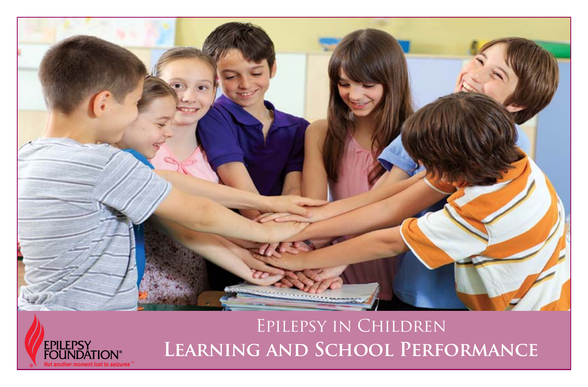



# **Learning and School Performance**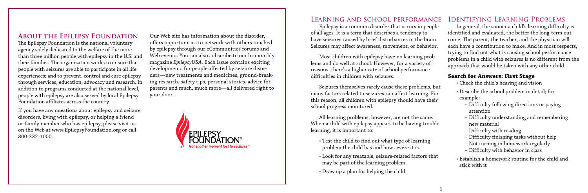#### **About the Epilepsy Foundation**

The Epilepsy Foundation is the national voluntary agency solely dedicated to the welfare of the more than three million people with epilepsy in the U.S. and their families. The organization works to ensure that people with seizures are able to participate in all life experiences; and to prevent, control and cure epilepsy through services, education, advocacy and research. In addition to programs conducted at the national level, people with epilepsy are also served by local Epilepsy Foundation affiliates across the country.

If you have any questions about epilepsy and seizure disorders, living with epilepsy, or helping a friend or family member who has epilepsy, please visit us on the Web at www.EpilepsyFoundation.org or call 800-332-1000.

Our Web site has information about the disorder, offers opportunities to network with others touched by epilepsy through our eCommunities forums and Web events. You can also subscribe to our bi-monthly magazine *EpilepsyUSA*. Each issue contains exciting developments for people affected by seizure disorders—new treatments and medicines, ground-breaking research, safety tips, personal stories, advice for parents and much, much more—all delivered right to your door.



#### Learning and school performance

Epilepsy is a common disorder that occurs in people of all ages. It is a term that describes a tendency to have seizures caused by brief disturbances in the brain. Seizures may affect awareness, movement, or behavior.

Most children with epilepsy have no learning problems and do well at school. However, for a variety of reasons, there's a higher rate of school performance difficulties in children with seizures.

Seizures themselves rarely cause these problems, but many factors related to seizures can affect learning. For this reason, all children with epilepsy should have their school progress monitored.

All learning problems, however, are not the same. When a child with epilepsy appears to be having trouble learning, it is important to:

- Test the child to find out what type of learning problem the child has and how severe it is.
- Look for any treatable, seizure-related factors that may be part of the learning problem.
- Draw up a plan for helping the child.

# Identifying Learning Problems

In general, the sooner a child's learning difficulty is identified and evaluated, the better the long-term outcome. The parent, the teacher, and the physician will each have a contribution to make. And in most respects, trying to find out what is causing school performance problems in a child with seizures is no different from the approach that would be taken with any other child.

### **Search for Answers: First Stage**

- Check the child's hearing and vision
- Describe the school problem in detail; for example:
	- Difficulty following directions or paying attention
	- Difficulty understanding and remembering new material
	- Difficulty with reading
	- Difficulty finishing tasks without help
	- Not turning in homework regularly
	- Difficulty with behavior in class
- Establish a homework routine for the child and stick with it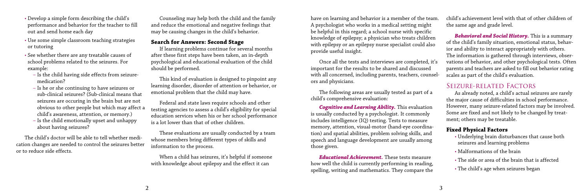- Develop a simple form describing the child's performance and behavior for the teacher to fill out and send home each day
- Use some simple classroom teaching strategies or tutoring
- See whether there are any treatable causes of school problems related to the seizures. For example:
	- Is the child having side effects from seizuremedication?
	- Is he or she continuing to have seizures or sub-clinical seizures? (Sub-clinical means that seizures are occuring in the brain but are not obvious to other people but which may affect a child's awareness, attention, or memory.)
	- Is the child emotionally upset and unhappy about having seizures?

The child's doctor will be able to tell whether medication changes are needed to control the seizures better or to reduce side effects.

Counseling may help both the child and the family and reduce the emotional and negative feelings that may be causing changes in the child's behavior.

#### **Search for Answers: Second Stage**

If learning problems continue for several months after these first steps have been taken, an in-depth psychological and educational evaluation of the child should be performed.

This kind of evaluation is designed to pinpoint any learning disorder, disorder of attention or behavior, or emotional problem that the child may have.

Federal and state laws require schools and other testing agencies to assess a child's eligibility for special education services when his or her school performance is a lot lower than that of other children.

These evaluations are usually conducted by a team whose members bring different types of skills and information to the process.

When a child has seizures, it's helpful if someone with knowledge about epilepsy and the effect it can

ors and physicians.

The following areas are usually tested as part of a child's comprehensive evaluation:

*Cognitive and Learning Ability.* This evaluation is usually conducted by a psychologist. It commonly includes intelligence (IQ) testing. Tests to measure memory, attention, visual-motor (hand-eye coordination) and spatial abilities, problem solving skills, and speech and language development are usually among those given.

have on learning and behavior is a member of the team. A psychologist who works in a medical setting might be helpful in this regard; a school nurse with specific knowledge of epilepsy; a physician who treats children with epilepsy or an epilepsy nurse specialist could also provide useful insight. Once all the tests and interviews are completed, it's important for the results to be shared and discussed with all concerned, including parents, teachers, counselchild's achievement level with that of other children of the same age and grade level. *Behavioral and Social History.* This is a summary of the child's family situation, emotional status, behavior and ability to interact appropriately with others. The information is gathered through interviews, observations of behavior, and other psychological tests. Often parents and teachers are asked to fill out behavior rating scales as part of the child's evaluation.

*Educational Achievement.* These tests measure how well the child is currently performing in reading, spelling, writing and mathematics. They compare the

# Seizure-related Factors

As already noted, a child's actual seizures are rarely the major cause of difficulties in school performance. However, many seizure-related factors may be involved. Some are fixed and not likely to be changed by treatment; others may be treatable.

### **Fixed Physical Factors**

- Underlying brain disturbances that cause both seizures and learning problems
- Malformations of the brain
- The side or area of the brain that is affected
- The child's age when seizures began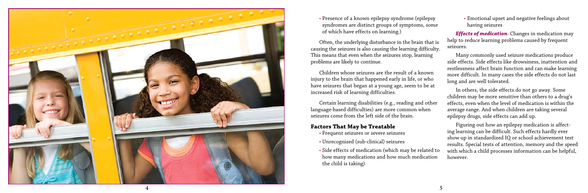

• Presence of a known epilepsy syndrome (epilepsy syndromes are distinct groups of symptoms, some of which have effects on learning.)

Often, the underlying disturbance in the brain that is causing the seizures is also causing the learning difficulty. This means that even when the seizures stop, learning problems are likely to continue.

Children whose seizures are the result of a known injury to the brain that happened early in life, or who have seizures that began at a young age, seem to be at increased risk of learning difficulties.

Certain learning disabilities (e.g., reading and other language-based difficulties) are more common when seizures come from the left side of the brain.

#### **Factors That May be Treatable**

- Frequent seizures or severe seizures
- Unrecognized (sub-clinical) seizures
- Side effects of medication (which may be related to how many medications and how much medication the child is taking)

• Emotional upset and negative feelings about having seizures

*Effects of medication*. Changes in medication may help to reduce learning problems caused by frequent seizures.

Many commonly used seizure medications produce side effects. Side effects like drowsiness, inattention and restlessness affect brain function and can make learning more difficult. In many cases the side effects do not last long and are well tolerated.

In others, the side effects do not go away. Some children may be more sensitive than others to a drug's effects, even when the level of medication is within the average range. And when children are taking several epilepsy drugs, side effects can add up.

Figuring out how an epilepsy medication is affect ing learning can be difficult. Such effects hardly ever show up in standardized IQ or school achievement test results. Special tests of attention, memory and the speed with which a child processes information can be helpful, however.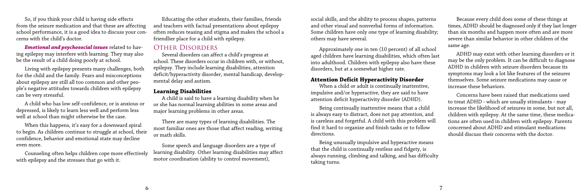So, if you think your child is having side effects from the seizure medication and that these are affecting school performance, it is a good idea to discuss your concerns with the child's doctor.

*Emotional and psychosocial issues* related to having epilepsy may interfere with learning. They may also be the result of a child doing poorly at school.

Living with epilepsy presents many challenges, both for the child and the family. Fears and misconceptions about epilepsy are still all too common and other people's negative attitudes towards children with epilepsy can be very stressful.

A child who has low self-confidence, or is anxious or depressed, is likely to learn less well and perform less well at school than might otherwise be the case.

When this happens, it's easy for a downward spiral to begin. As children continue to struggle at school, their confidence, behavior and emotional state may decline even more.

Counseling often helps children cope more effectively with epilepsy and the stresses that go with it.

Educating the other students, their families, friends and teachers with factual presentations about epilepsy often reduces teasing and stigma and makes the school a friendlier place for a child with epilepsy.

# Other Disorders

Several disorders can affect a child's progress at school. These disorders occur in children with, or without, epilepsy. They include learning disabilities, attention deficit/hyperactivity disorder, mental handicap, developmental delay and autism.

### **Learning Disabilities**

A child is said to have a learning disability when he or she has normal learning abilities in some areas and major learning problems in other areas.

There are many types of learning disabilities. The most familiar ones are those that affect reading, writing or math skills.

Some speech and language disorders are a type of learning disability. Other learning disabilities may affect motor coordination (ability to control movement),

social skills, and the ability to process shapes, patterns and other visual and nonverbal forms of information. Some children have only one type of learning disability; others may have several.

Approximately one in ten (10 percent) of all school aged children have learning disabilities, which often last into adulthood. Children with epilepsy also have these disorders, but at a somewhat higher rate.

#### **Attention Deficit Hyperactivity Disorder**

When a child or adult is continually inattentive, impulsive and/or hyperactive, they are said to have attention deficit hyperactivity disorder (ADHD).

Being continually inattentive means that a child is always easy to distract, does not pay attention, and is careless and forgetful. A child with this problem will find it hard to organize and finish tasks or to follow directions.

Being unusually impulsive and hyperactive means that the child is continually restless and fidgety, is always running, climbing and talking, and has difficulty taking turns.

Because every child does some of these things at times, ADHD should be diagnosed only if they last longer than six months and happen more often and are more severe than similar behavior in other children of the same age.

ADHD may exist with other learning disorders or it may be the only problem. It can be difficult to diagnose ADHD in children with seizure disorders because its symptoms may look a lot like features of the seizures themselves. Some seizure medications may cause or increase these behaviors.

Concerns have been raised that medications used to treat ADHD - which are usually stimulants - may increase the likelihood of seizures in some, but not all, children with epilepsy. At the same time, these medications are often used in children with epilepsy. Parents concerned about ADHD and stimulant medications should discuss their concerns with the doctor.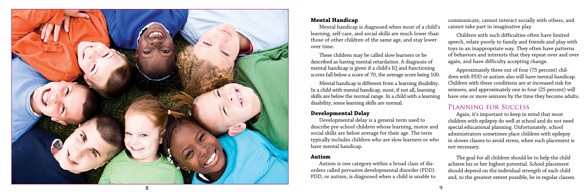

#### **Mental Handicap**

Mental handicap is diagnosed when most of a child's learning, self-care, and social skills are much lower than those of other children of the same age, and stay lower over time.

These children may be called slow learners or be described as having mental retardation. A diagnosis of mental handicap is given if a child's IQ and functioning scores fall below a score of 70, the average score being 100.

Mental handicap is different from a learning disability. In a child with mental handicap, most, if not all, learning skills are below the normal range. In a child with a learning disability, some learning skills are normal.

#### **Developmental Delay**

Developmental delay is a general term used to describe pre-school children whose learning, motor and social skills are below average for their age. The term typically includes children who are slow learners or who have mental handicap.

#### **Autism**

Autism is one category within a broad class of dis orders called pervasive developmental disorder (PDD). PDD, or autism, is diagnosed when a child is unable to communicate, cannot interact socially with others, and cannot take part in imaginative play.

Children with such difficulties often have limited speech, relate poorly to family and friends and play with toys in an inappropriate way. They often have patterns of behaviors and interests that they repeat over and over again, and have difficulty accepting change.

Approximately three out of four (75 percent) chil dren with PDD or autism also will have mental handicap. Children with these conditions are at increased risk for seizures, and approximately one in four (25 percent) will have one or more seizures by the time they become adults.

# Planning for Success

Again, it's important to keep in mind that most children with epilepsy do well at school and do not need special educational planning. Unfortunately, school administrators sometimes place children with epilepsy in slower classes to avoid stress, when such placement is not necessary.

The goal for all children should be to help the child achieve his or her highest potential. School placement should depend on the individual strength of each child and, to the greatest extent possible, be in regular classes.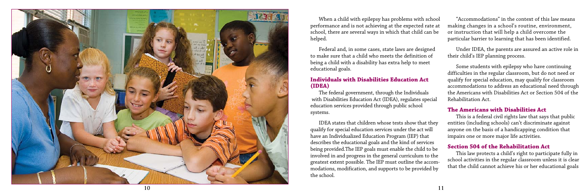Federal and, in some cases, state laws are designed to make sure that a child who meets the definition of being a child with a disability has extra help to meet educational goals.

#### **Individuals with Disabilities Education Act (IDEA)**

The federal government, through the Individuals with Disabilities Education Act (IDEA), regulates special education services provided through public school systems.



When a child with epilepsy has problems with school performance and is not achieving at the expected rate at school, there are several ways in which that child can be helped. "Accommodations" in the context of this law means making changes in a school's routine, environment, or instruction that will help a child overcome the particular barrier to learning that has been identified.

IDEA states that children whose tests show that they qualify for special education services under the act will have an Individualized Education Program (IEP) that describes the educational goals and the kind of services being provided.The IEP goals must enable the child to be involved in and progress in the general curriculum to the greatest extent possible. The IEP must outline the accom modations, modification, and supports to be provided by the school.

Under IDEA, the parents are assured an active role in their child's IEP planning process.

Some students with epilepsy who have continuing difficulties in the regular classroom, but do not need or qualify for special education, may qualify for classroom accommodations to address an educational need through the Americans with Disabilities Act or Section 504 of the Rehabilitation Act.

#### **The Americans with Disabilities Act**

This is a federal civil rights law that says that public entities (including schools) can't discriminate against anyone on the basis of a handicapping condition that impairs one or more major life activities.

#### **Section 504 of the Rehabilitation Act**

This law protects a child's right to participate fully in school activities in the regular classroom unless it is clear that the child cannot achieve his or her educational goals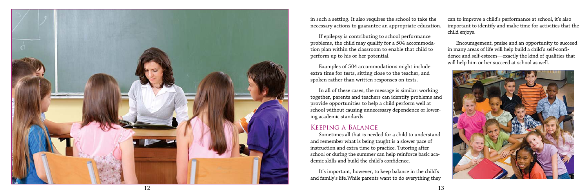If epilepsy is contributing to school performance problems, the child may qualify for a 504 accommoda tion plan within the classroom to enable that child to perform up to his or her potential.

Examples of 504 accommodations might include extra time for tests, sitting close to the teacher, and spoken rather than written responses on tests.

In all of these cases, the message is similar: working together, parents and teachers can identify problems and provide opportunities to help a child perform well at school without causing unnecessary dependence or lower ing academic standards.



in such a setting. It also requires the school to take the necessary actions to guarantee an appropriate education. can to improve a child's performance at school, it's also important to identify and make time for activities that the child enjoys.

## Keeping a Balance

Sometimes all that is needed for a child to understand and remember what is being taught is a slower pace of instruction and extra time to practice. Tutoring after school or during the summer can help reinforce basic aca demic skills and build the child's confidence.

It's important, however, to keep balance in the child's and family's life.While parents want to do everything they

Encouragement, praise and an opportunity to succeed in many areas of life will help build a child's self-confi dence and self-esteem—exactly the kind of qualities that will help him or her succeed at school as well.